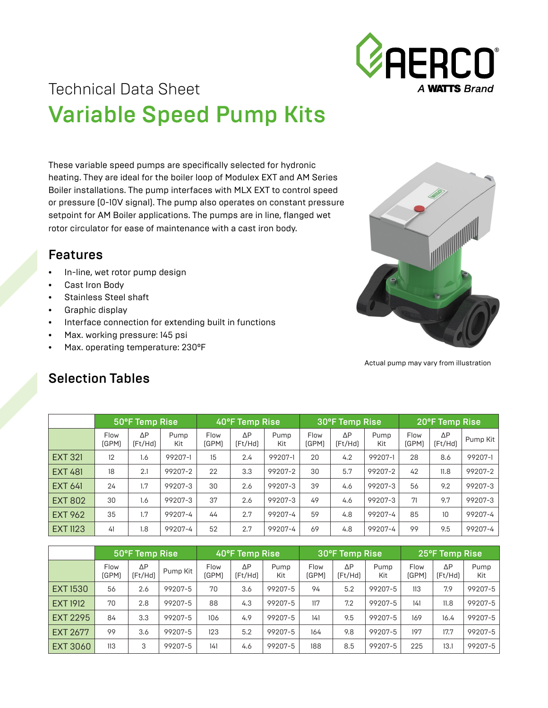

## Technical Data Sheet Variable Speed Pump Kits

These variable speed pumps are specifically selected for hydronic heating. They are ideal for the boiler loop of Modulex EXT and AM Series Boiler installations. The pump interfaces with MLX EXT to control speed or pressure (0-10V signal). The pump also operates on constant pressure setpoint for AM Boiler applications. The pumps are in line, flanged wet rotor circulator for ease of maintenance with a cast iron body.

## Features

- In-line, wet rotor pump design
- Cast Iron Body
- Stainless Steel shaft
- Graphic display
- Interface connection for extending built in functions
- Max. working pressure: 145 psi
- Max. operating temperature: 230°F



Actual pump may vary from illustration

|                 | 50°F Temp Rise |               |             | 40°F Temp Rise       |                        |             | 30°F Temp Rise |                        |             | 20°F Temp Rise |                  |          |
|-----------------|----------------|---------------|-------------|----------------------|------------------------|-------------|----------------|------------------------|-------------|----------------|------------------|----------|
|                 | Flow<br>[GPM]  | ΔP<br>(Ft/Hd) | Pump<br>Kit | <b>Flow</b><br>(GPM) | $\Delta P$<br>[Fit/Hd] | Pump<br>Kit | Flow<br>(GPM)  | $\Delta P$<br>[Fit/Hd] | Pump<br>Kit | Flow<br>[GPM]  | ΔΡ<br>[Fit/Hd]   | Pump Kit |
| <b>EXT 321</b>  | 12             | 1.6           | 99207-1     | 15                   | 2.4                    | 99207-1     | 20             | 4.2                    | 99207-1     | 28             | 8.6              | 99207-1  |
| <b>EXT 481</b>  | 18             | 2.1           | 99207-2     | 22                   | 3.3                    | 99207-2     | 30             | 5.7                    | 99207-2     | 42             | 11.8             | 99207-2  |
| <b>EXT 641</b>  | 24             | 1.7           | 99207-3     | 30                   | 2.6                    | 99207-3     | 39             | 4.6                    | 99207-3     | 56             | 9.2              | 99207-3  |
| <b>EXT 802</b>  | 30             | 1.6           | 99207-3     | 37                   | 2.6                    | 99207-3     | 49             | 4.6                    | 99207-3     | 71             | 9.7              | 99207-3  |
| <b>EXT 962</b>  | 35             | 1.7           | 99207-4     | 44                   | 2.7                    | 99207-4     | 59             | 4.8                    | 99207-4     | 85             | 10 <sup>10</sup> | 99207-4  |
| <b>EXT 1123</b> | 41             | 1.8           | 99207-4     | 52                   | 2.7                    | 99207-4     | 69             | 4.8                    | 99207-4     | 99             | 9.5              | 99207-4  |

## Selection Tables

|                 | 50°F Temp Rise       |                        |          | 40°F Temp Rise |                        |             | 30°F Temp Rise |                       |             | 25°F Temp Rise |               |             |
|-----------------|----------------------|------------------------|----------|----------------|------------------------|-------------|----------------|-----------------------|-------------|----------------|---------------|-------------|
|                 | <b>Flow</b><br>(GPM) | $\Delta P$<br>[Fit/Hd] | Pump Kit | Flow<br>(GPM)  | $\Delta P$<br>[Fit/He] | Pump<br>Kit | Flow<br>[GPM]  | $\Delta P$<br>(Ft/Hd) | Pump<br>Kit | Flow<br>(GPM)  | ΔP<br>(Ft/Hd) | Pump<br>Kit |
| <b>EXT1530</b>  | 56                   | 2.6                    | 99207-5  | 70             | 3.6                    | 99207-5     | 94             | 5.2                   | 99207-5     | 113            | 7.9           | 99207-5     |
| <b>EXT 1912</b> | 70                   | 2.8                    | 99207-5  | 88             | 4.3                    | 99207-5     | 117            | 7.2                   | 99207-5     | 141            | 11.8          | 99207-5     |
| EXT 2295        | 84                   | 3.3                    | 99207-5  | 106            | 4.9                    | 99207-5     | 141            | 9.5                   | 99207-5     | 169            | 16.4          | 99207-5     |
| <b>EXT 2677</b> | 99                   | 3.6                    | 99207-5  | 123            | 5.2                    | 99207-5     | 164            | 9.8                   | 99207-5     | 197            | 17.7          | 99207-5     |
| EXT 3060        | 113                  | 3                      | 99207-5  | 141            | 4.6                    | 99207-5     | 188            | 8.5                   | 99207-5     | 225            | 13.1          | 99207-5     |